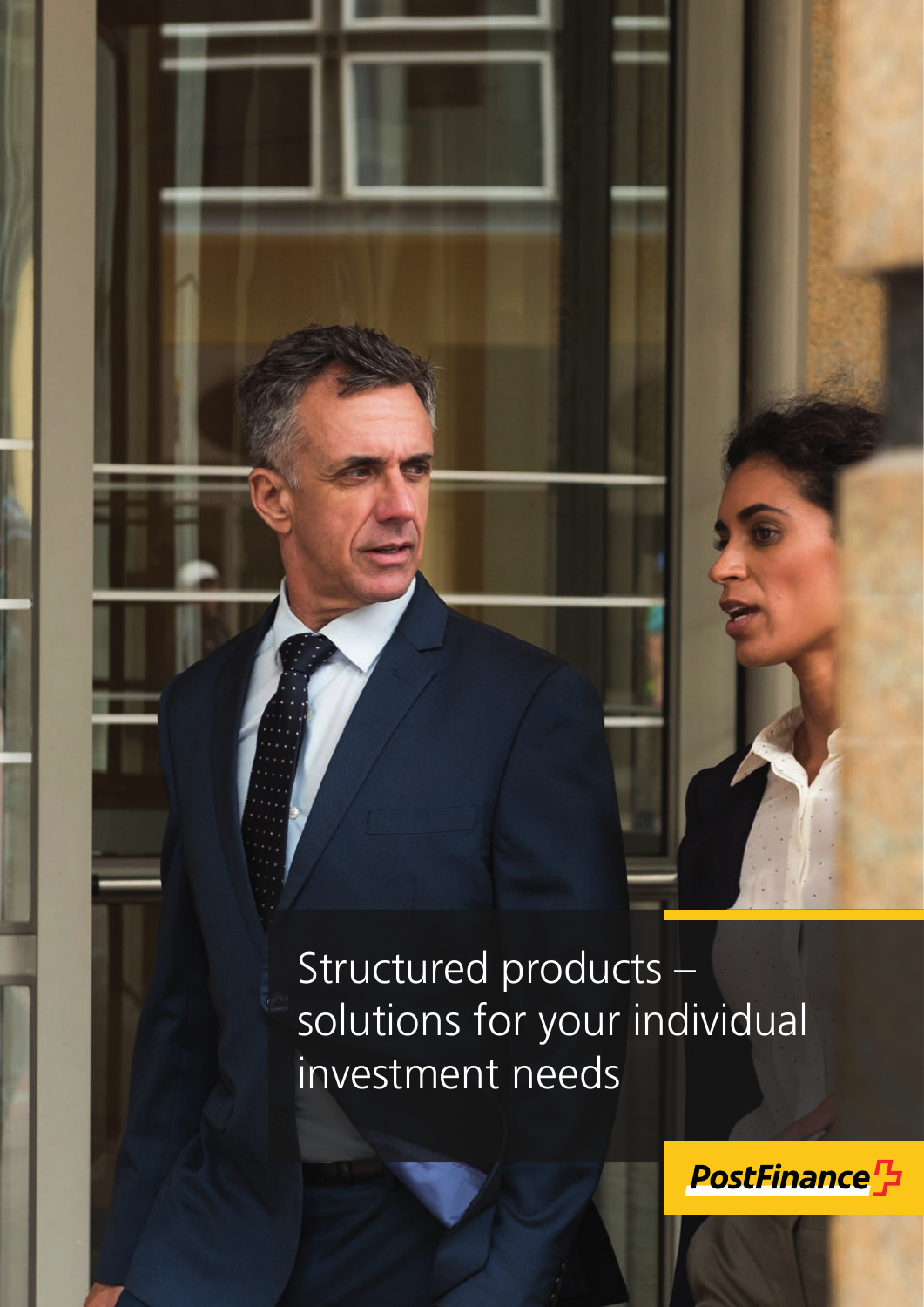# Structured products – solutions for your individual investment needs

**PostFinance<sup>T</sup>**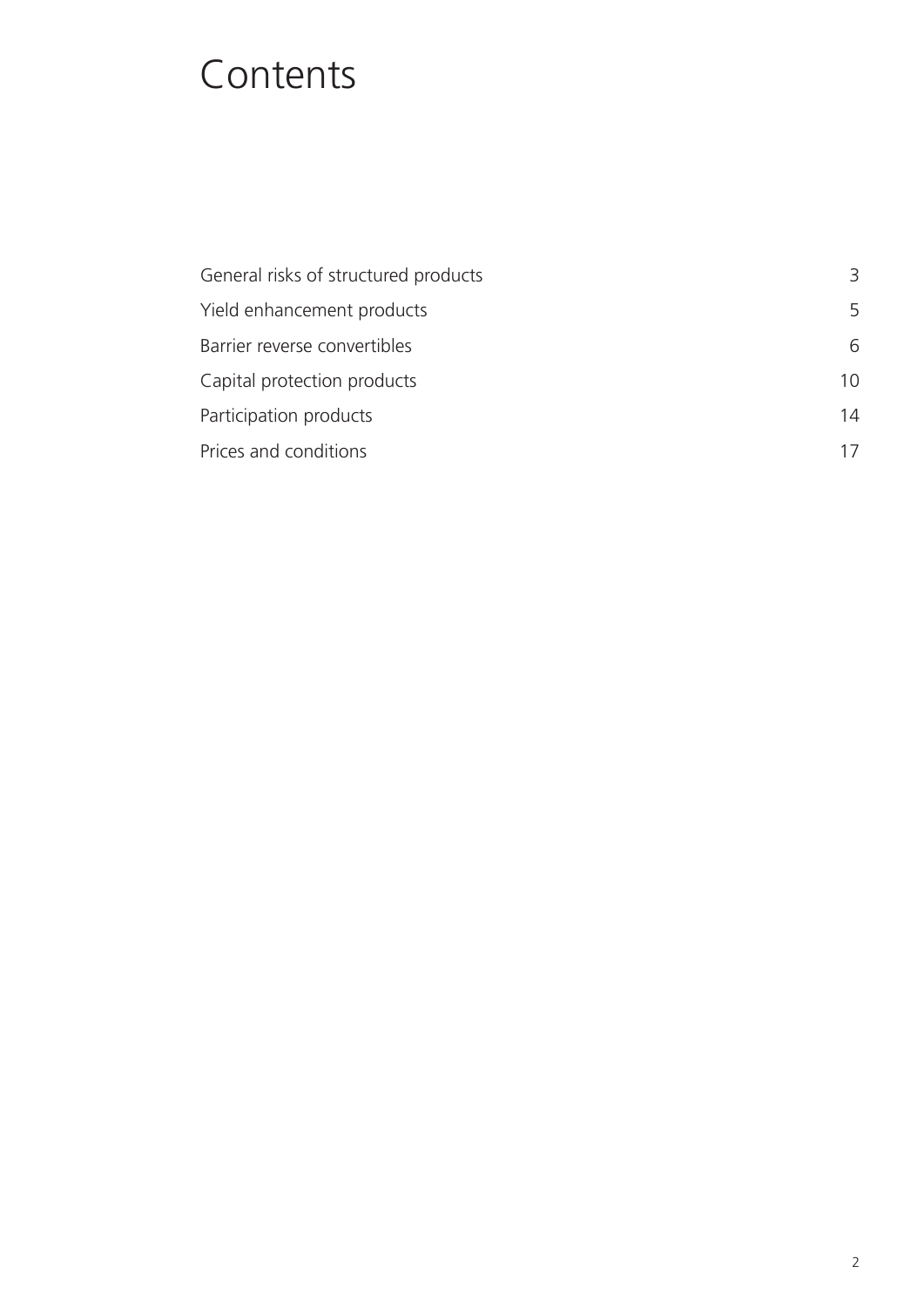# Contents

| General risks of structured products | 3  |
|--------------------------------------|----|
| Yield enhancement products           | 5  |
| Barrier reverse convertibles         | 6  |
| Capital protection products          | 10 |
| Participation products               | 14 |
| Prices and conditions                | 17 |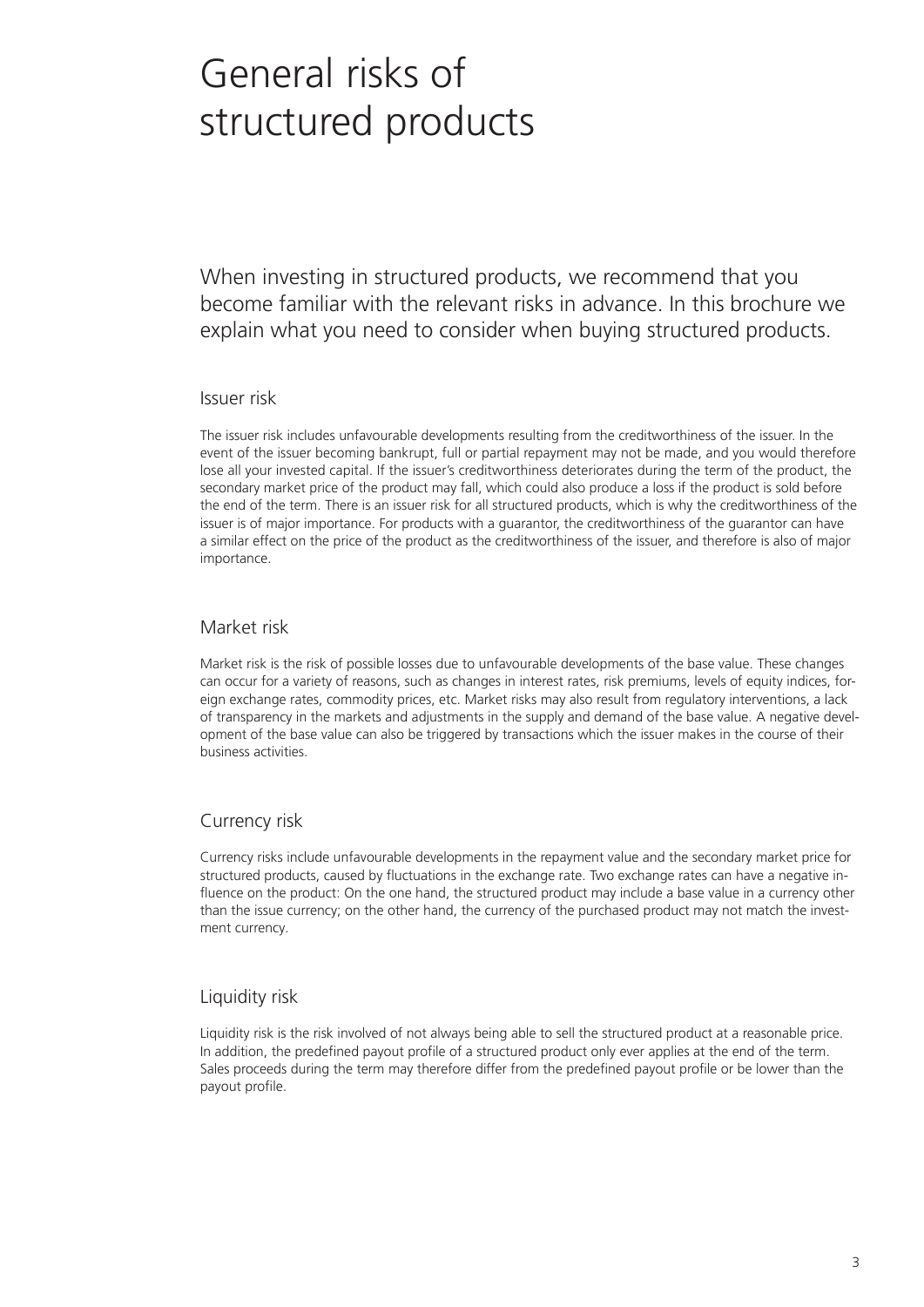# General risks of structured products

When investing in structured products, we recommend that you become familiar with the relevant risks in advance. In this brochure we explain what you need to consider when buying structured products.

#### Issuer risk

The issuer risk includes unfavourable developments resulting from the creditworthiness of the issuer. In the event of the issuer becoming bankrupt, full or partial repayment may not be made, and you would therefore lose all your invested capital. If the issuer's creditworthiness deteriorates during the term of the product, the secondary market price of the product may fall, which could also produce a loss if the product is sold before the end of the term. There is an issuer risk for all structured products, which is why the creditworthiness of the issuer is of major importance. For products with a guarantor, the creditworthiness of the guarantor can have a similar effect on the price of the product as the creditworthiness of the issuer, and therefore is also of major importance.

### Market risk

Market risk is the risk of possible losses due to unfavourable developments of the base value. These changes can occur for a variety of reasons, such as changes in interest rates, risk premiums, levels of equity indices, foreign exchange rates, commodity prices, etc. Market risks may also result from regulatory interventions, a lack of transparency in the markets and adjustments in the supply and demand of the base value. A negative development of the base value can also be triggered by transactions which the issuer makes in the course of their business activities.

## Currency risk

Currency risks include unfavourable developments in the repayment value and the secondary market price for structured products, caused by fluctuations in the exchange rate. Two exchange rates can have a negative influence on the product: On the one hand, the structured product may include a base value in a currency other than the issue currency; on the other hand, the currency of the purchased product may not match the investment currency.

## Liquidity risk

Liquidity risk is the risk involved of not always being able to sell the structured product at a reasonable price. In addition, the predefined payout profile of a structured product only ever applies at the end of the term. Sales proceeds during the term may therefore differ from the predefined payout profile or be lower than the payout profile.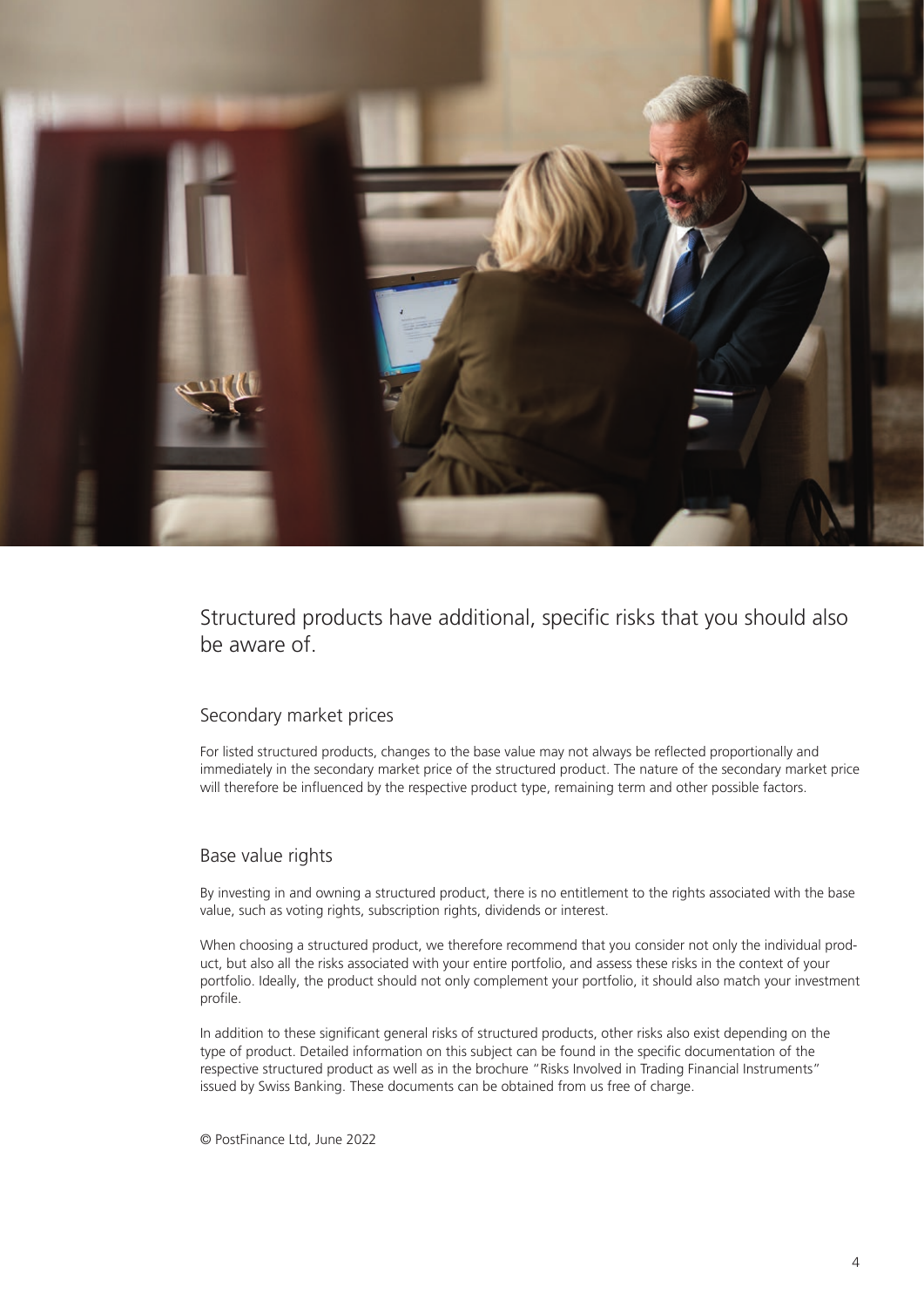

Structured products have additional, specific risks that you should also be aware of.

### Secondary market prices

For listed structured products, changes to the base value may not always be reflected proportionally and immediately in the secondary market price of the structured product. The nature of the secondary market price will therefore be influenced by the respective product type, remaining term and other possible factors.

#### Base value rights

By investing in and owning a structured product, there is no entitlement to the rights associated with the base value, such as voting rights, subscription rights, dividends or interest.

When choosing a structured product, we therefore recommend that you consider not only the individual product, but also all the risks associated with your entire portfolio, and assess these risks in the context of your portfolio. Ideally, the product should not only complement your portfolio, it should also match your investment profile.

In addition to these significant general risks of structured products, other risks also exist depending on the type of product. Detailed information on this subject can be found in the specific documentation of the respective structured product as well as in the brochure "Risks Involved in Trading Financial Instruments" issued by Swiss Banking. These documents can be obtained from us free of charge.

© PostFinance Ltd, June 2022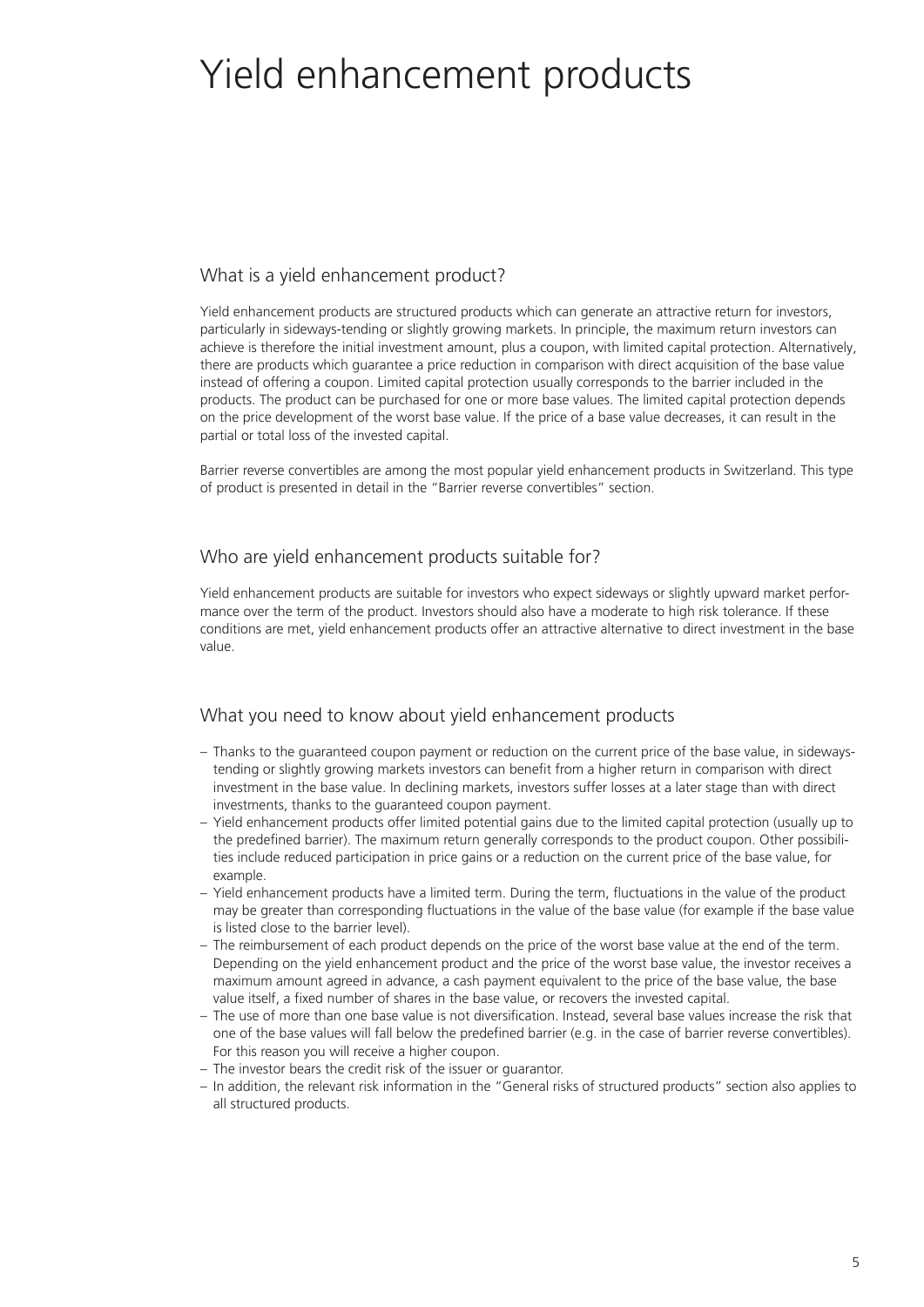# Yield enhancement products

## What is a yield enhancement product?

Yield enhancement products are structured products which can generate an attractive return for investors, particularly in sideways-tending or slightly growing markets. In principle, the maximum return investors can achieve is therefore the initial investment amount, plus a coupon, with limited capital protection. Alternatively, there are products which guarantee a price reduction in comparison with direct acquisition of the base value instead of offering a coupon. Limited capital protection usually corresponds to the barrier included in the products. The product can be purchased for one or more base values. The limited capital protection depends on the price development of the worst base value. If the price of a base value decreases, it can result in the partial or total loss of the invested capital.

Barrier reverse convertibles are among the most popular yield enhancement products in Switzerland. This type of product is presented in detail in the "Barrier reverse convertibles" section.

## Who are yield enhancement products suitable for?

Yield enhancement products are suitable for investors who expect sideways or slightly upward market performance over the term of the product. Investors should also have a moderate to high risk tolerance. If these conditions are met, yield enhancement products offer an attractive alternative to direct investment in the base value.

## What you need to know about yield enhancement products

- Thanks to the guaranteed coupon payment or reduction on the current price of the base value, in sidewaystending or slightly growing markets investors can benefit from a higher return in comparison with direct investment in the base value. In declining markets, investors suffer losses at a later stage than with direct investments, thanks to the guaranteed coupon payment.
- Yield enhancement products offer limited potential gains due to the limited capital protection (usually up to the predefined barrier). The maximum return generally corresponds to the product coupon. Other possibilities include reduced participation in price gains or a reduction on the current price of the base value, for example.
- Yield enhancement products have a limited term. During the term, fluctuations in the value of the product may be greater than corresponding fluctuations in the value of the base value (for example if the base value is listed close to the barrier level).
- The reimbursement of each product depends on the price of the worst base value at the end of the term. Depending on the yield enhancement product and the price of the worst base value, the investor receives a maximum amount agreed in advance, a cash payment equivalent to the price of the base value, the base value itself, a fixed number of shares in the base value, or recovers the invested capital.
- The use of more than one base value is not diversification. Instead, several base values increase the risk that one of the base values will fall below the predefined barrier (e.g. in the case of barrier reverse convertibles). For this reason you will receive a higher coupon.
- The investor bears the credit risk of the issuer or guarantor.
- In addition, the relevant risk information in the "General risks of structured products" section also applies to all structured products.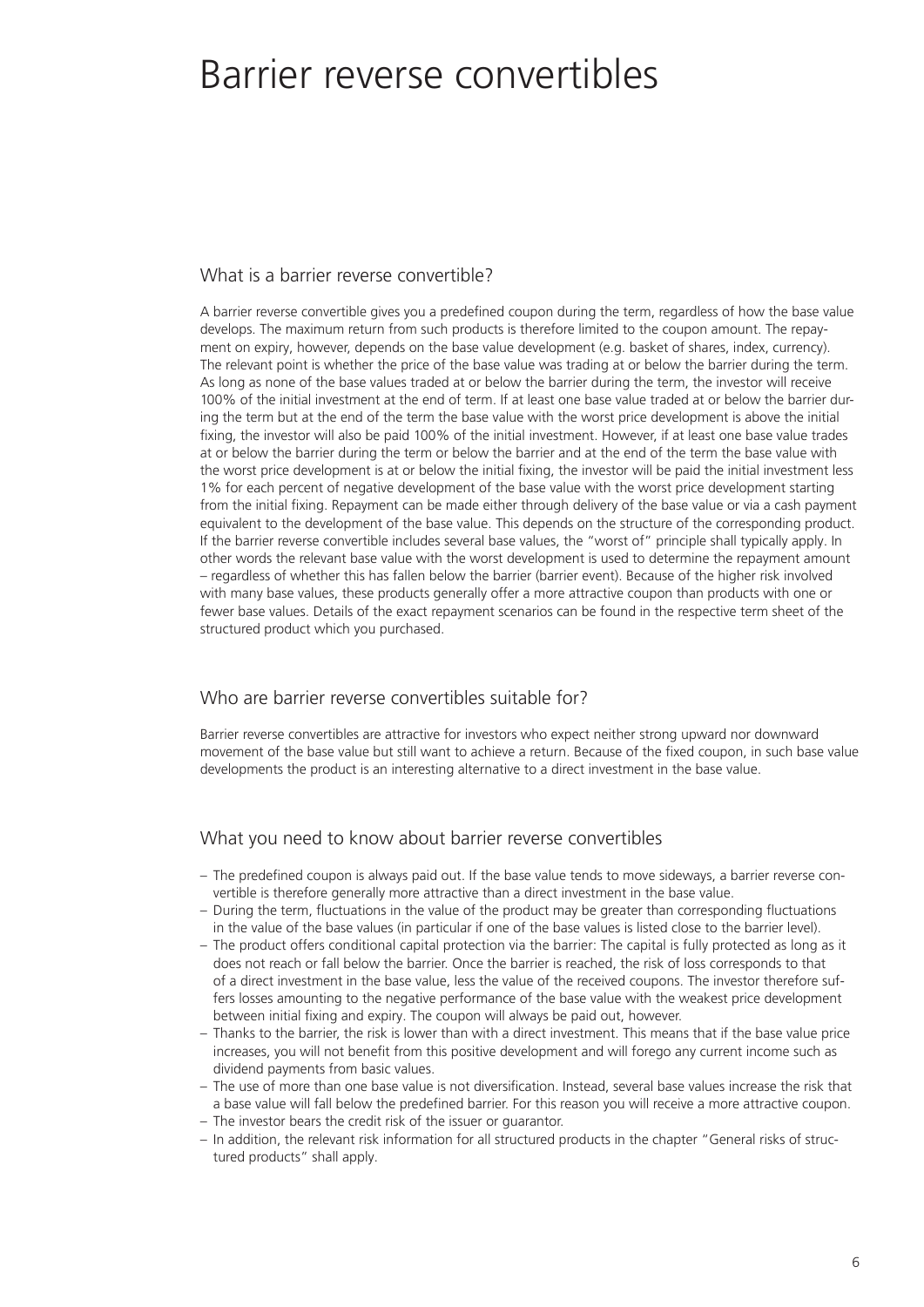## Barrier reverse convertibles

### What is a barrier reverse convertible?

A barrier reverse convertible gives you a predefined coupon during the term, regardless of how the base value develops. The maximum return from such products is therefore limited to the coupon amount. The repayment on expiry, however, depends on the base value development (e.g. basket of shares, index, currency). The relevant point is whether the price of the base value was trading at or below the barrier during the term. As long as none of the base values traded at or below the barrier during the term, the investor will receive 100% of the initial investment at the end of term. If at least one base value traded at or below the barrier during the term but at the end of the term the base value with the worst price development is above the initial fixing, the investor will also be paid 100% of the initial investment. However, if at least one base value trades at or below the barrier during the term or below the barrier and at the end of the term the base value with the worst price development is at or below the initial fixing, the investor will be paid the initial investment less 1% for each percent of negative development of the base value with the worst price development starting from the initial fixing. Repayment can be made either through delivery of the base value or via a cash payment equivalent to the development of the base value. This depends on the structure of the corresponding product. If the barrier reverse convertible includes several base values, the "worst of" principle shall typically apply. In other words the relevant base value with the worst development is used to determine the repayment amount – regardless of whether this has fallen below the barrier (barrier event). Because of the higher risk involved with many base values, these products generally offer a more attractive coupon than products with one or fewer base values. Details of the exact repayment scenarios can be found in the respective term sheet of the structured product which you purchased.

### Who are barrier reverse convertibles suitable for?

Barrier reverse convertibles are attractive for investors who expect neither strong upward nor downward movement of the base value but still want to achieve a return. Because of the fixed coupon, in such base value developments the product is an interesting alternative to a direct investment in the base value.

### What you need to know about barrier reverse convertibles

- The predefined coupon is always paid out. If the base value tends to move sideways, a barrier reverse convertible is therefore generally more attractive than a direct investment in the base value.
- During the term, fluctuations in the value of the product may be greater than corresponding fluctuations in the value of the base values (in particular if one of the base values is listed close to the barrier level).
- The product offers conditional capital protection via the barrier: The capital is fully protected as long as it does not reach or fall below the barrier. Once the barrier is reached, the risk of loss corresponds to that of a direct investment in the base value, less the value of the received coupons. The investor therefore suffers losses amounting to the negative performance of the base value with the weakest price development between initial fixing and expiry. The coupon will always be paid out, however.
- Thanks to the barrier, the risk is lower than with a direct investment. This means that if the base value price increases, you will not benefit from this positive development and will forego any current income such as dividend payments from basic values.
- The use of more than one base value is not diversification. Instead, several base values increase the risk that a base value will fall below the predefined barrier. For this reason you will receive a more attractive coupon.
- The investor bears the credit risk of the issuer or guarantor.
- In addition, the relevant risk information for all structured products in the chapter "General risks of structured products" shall apply.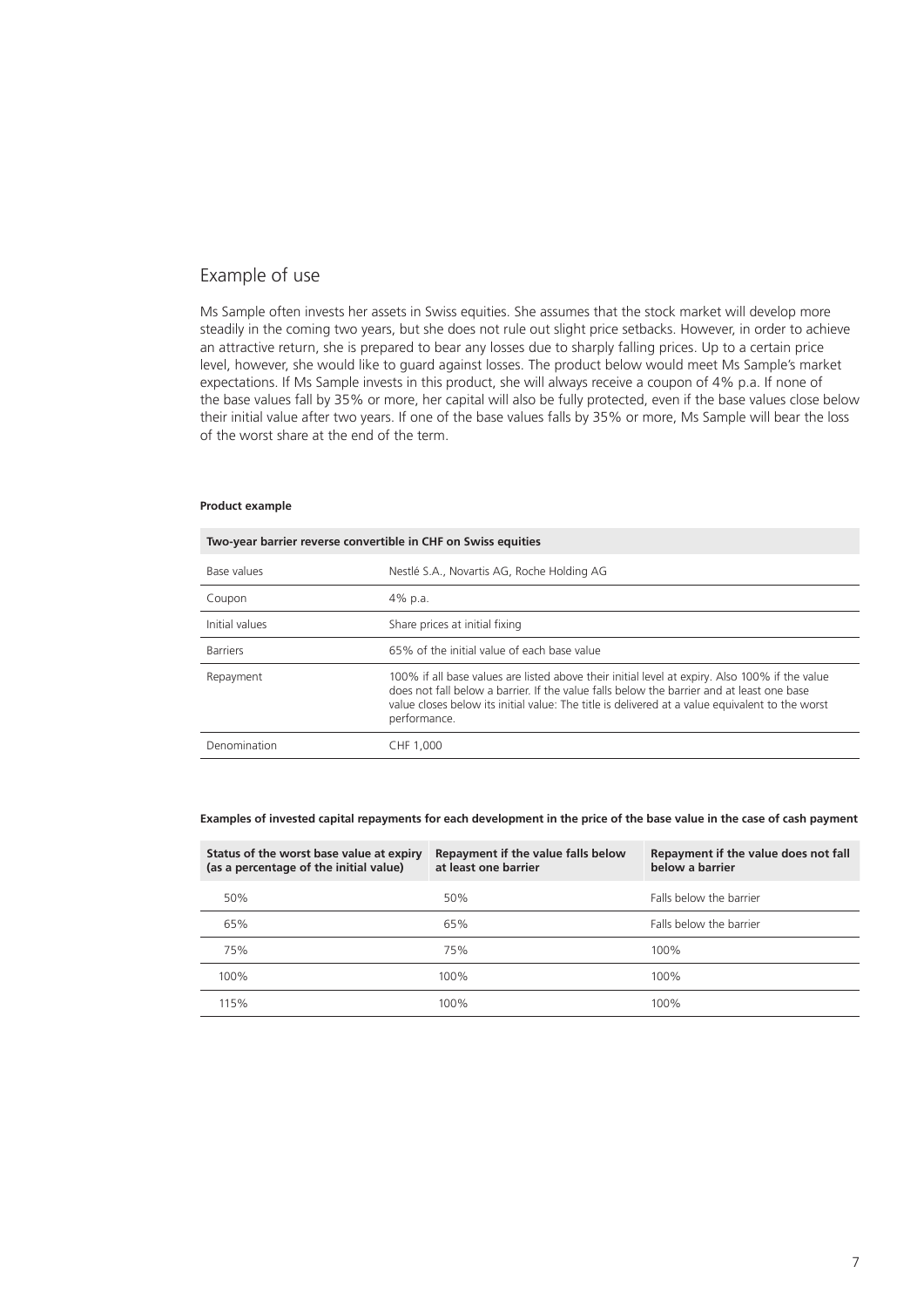### Example of use

Ms Sample often invests her assets in Swiss equities. She assumes that the stock market will develop more steadily in the coming two years, but she does not rule out slight price setbacks. However, in order to achieve an attractive return, she is prepared to bear any losses due to sharply falling prices. Up to a certain price level, however, she would like to guard against losses. The product below would meet Ms Sample's market expectations. If Ms Sample invests in this product, she will always receive a coupon of 4% p.a. If none of the base values fall by 35% or more, her capital will also be fully protected, even if the base values close below their initial value after two years. If one of the base values falls by 35% or more, Ms Sample will bear the loss of the worst share at the end of the term.

#### **Product example**

| Two-year barrier reverse convertible in CHF on Swiss equities |                                                                                                                                                                                                                                                                                                                |  |
|---------------------------------------------------------------|----------------------------------------------------------------------------------------------------------------------------------------------------------------------------------------------------------------------------------------------------------------------------------------------------------------|--|
| Base values                                                   | Nestlé S.A., Novartis AG, Roche Holding AG                                                                                                                                                                                                                                                                     |  |
| Coupon                                                        | 4% p.a.                                                                                                                                                                                                                                                                                                        |  |
| Initial values                                                | Share prices at initial fixing                                                                                                                                                                                                                                                                                 |  |
| <b>Barriers</b>                                               | 65% of the initial value of each base value                                                                                                                                                                                                                                                                    |  |
| Repayment                                                     | 100% if all base values are listed above their initial level at expiry. Also 100% if the value<br>does not fall below a barrier. If the value falls below the barrier and at least one base<br>value closes below its initial value: The title is delivered at a value equivalent to the worst<br>performance. |  |
| Denomination                                                  | CHF 1,000                                                                                                                                                                                                                                                                                                      |  |

#### **Examples of invested capital repayments for each development in the price of the base value in the case of cash payment**

| Status of the worst base value at expiry<br>(as a percentage of the initial value) | Repayment if the value falls below<br>at least one barrier | Repayment if the value does not fall<br>below a barrier |
|------------------------------------------------------------------------------------|------------------------------------------------------------|---------------------------------------------------------|
| 50%                                                                                | 50%                                                        | Falls below the barrier                                 |
| 65%                                                                                | 65%                                                        | Falls below the barrier                                 |
| 75%                                                                                | 75%                                                        | 100%                                                    |
| 100%                                                                               | 100%                                                       | 100%                                                    |
| 115%                                                                               | 100%                                                       | 100%                                                    |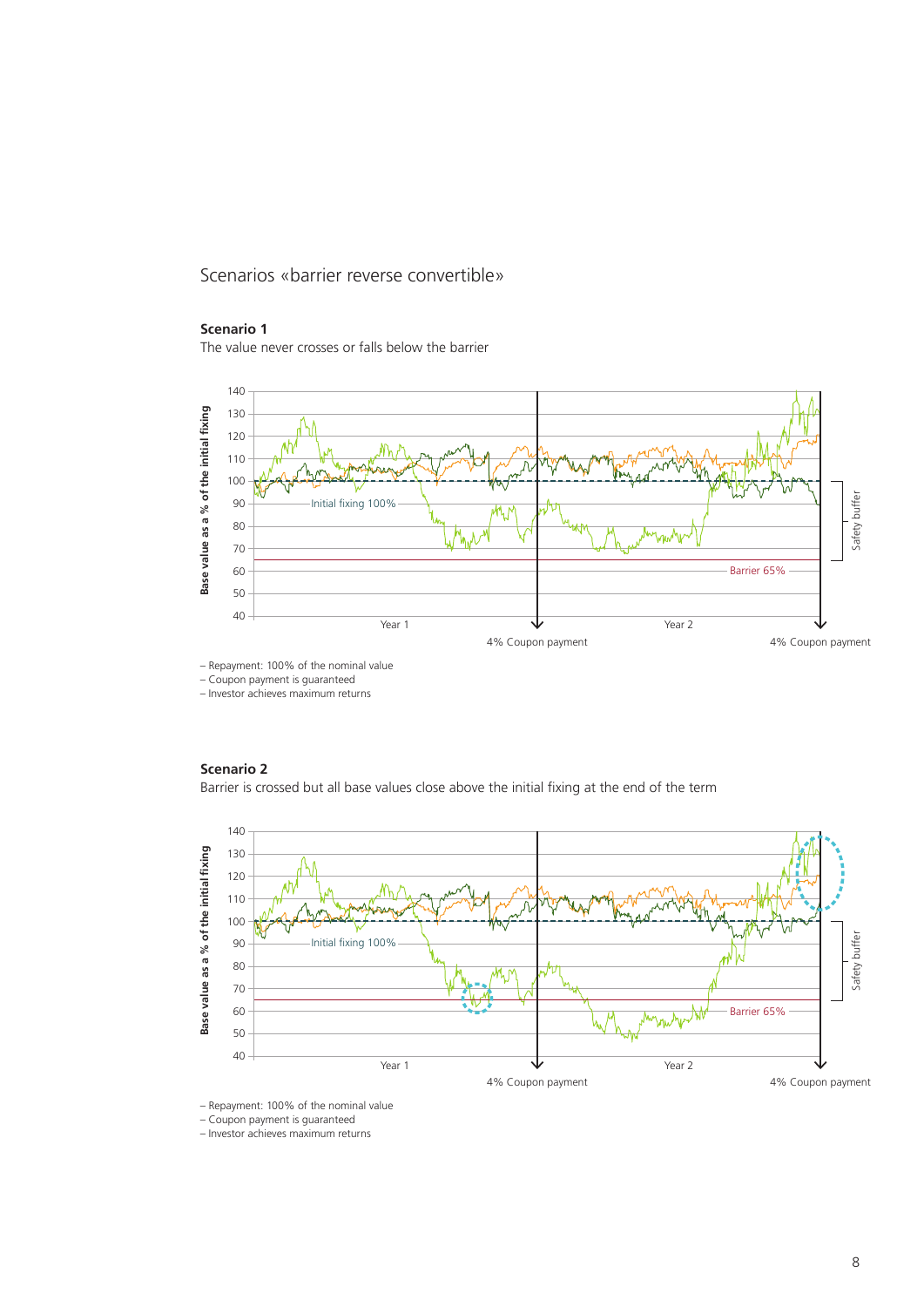Scenarios «barrier reverse convertible»

#### **Scenario 1**

The value never crosses or falls below the barrier



– Repayment: 100% of the nominal value

– Coupon payment is guaranteed

– Investor achieves maximum returns

#### **Scenario 2**



– Repayment: 100% of the nominal value

– Coupon payment is guaranteed

– Investor achieves maximum returns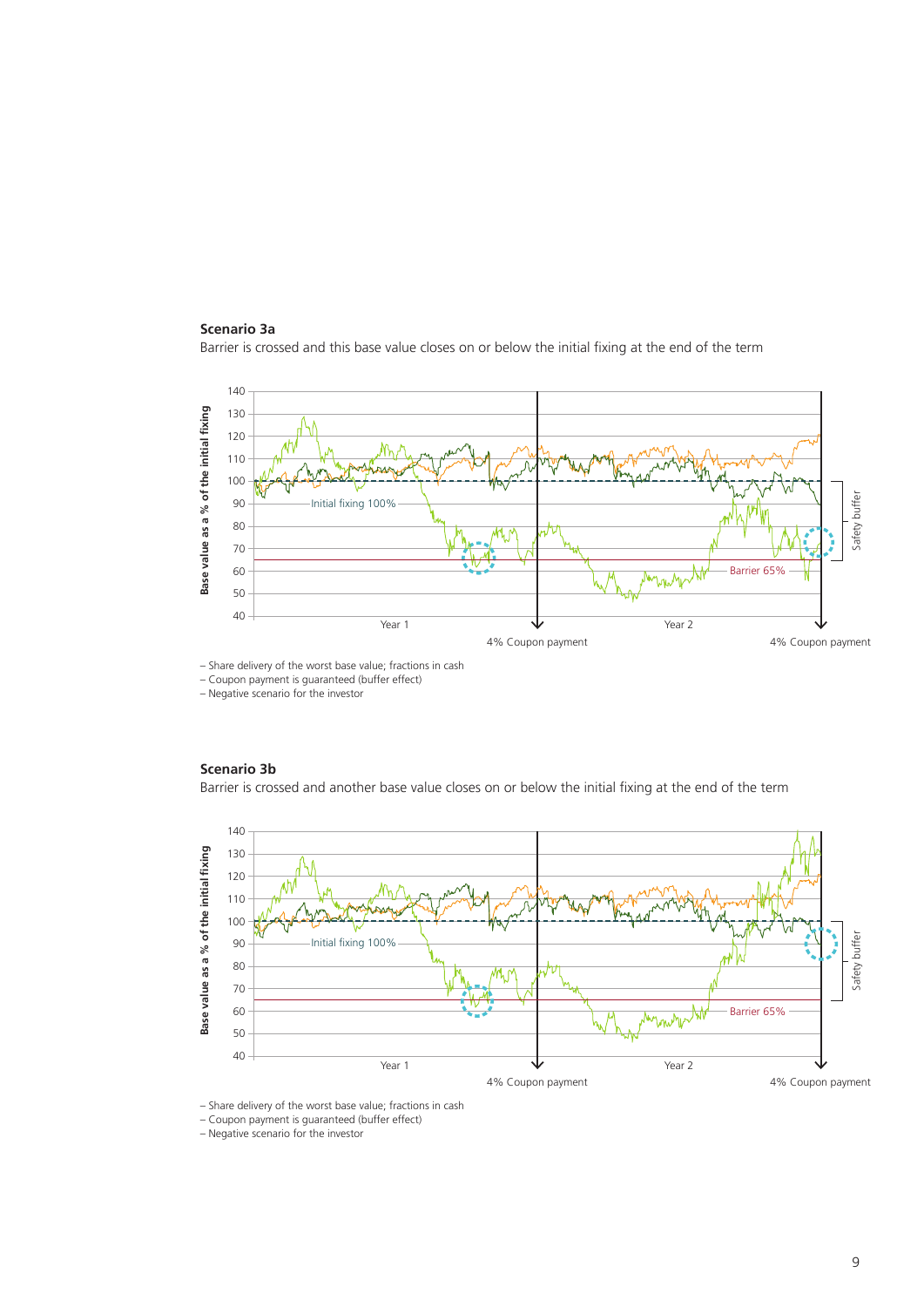#### **Scenario 3a**

Barrier is crossed and this base value closes on or below the initial fixing at the end of the term



– Share delivery of the worst base value; fractions in cash

– Coupon payment is guaranteed (buffer effect)

– Negative scenario for the investor

#### **Scenario 3b**

Barrier is crossed and another base value closes on or below the initial fixing at the end of the term



– Share delivery of the worst base value; fractions in cash

– Coupon payment is guaranteed (buffer effect)

– Negative scenario for the investor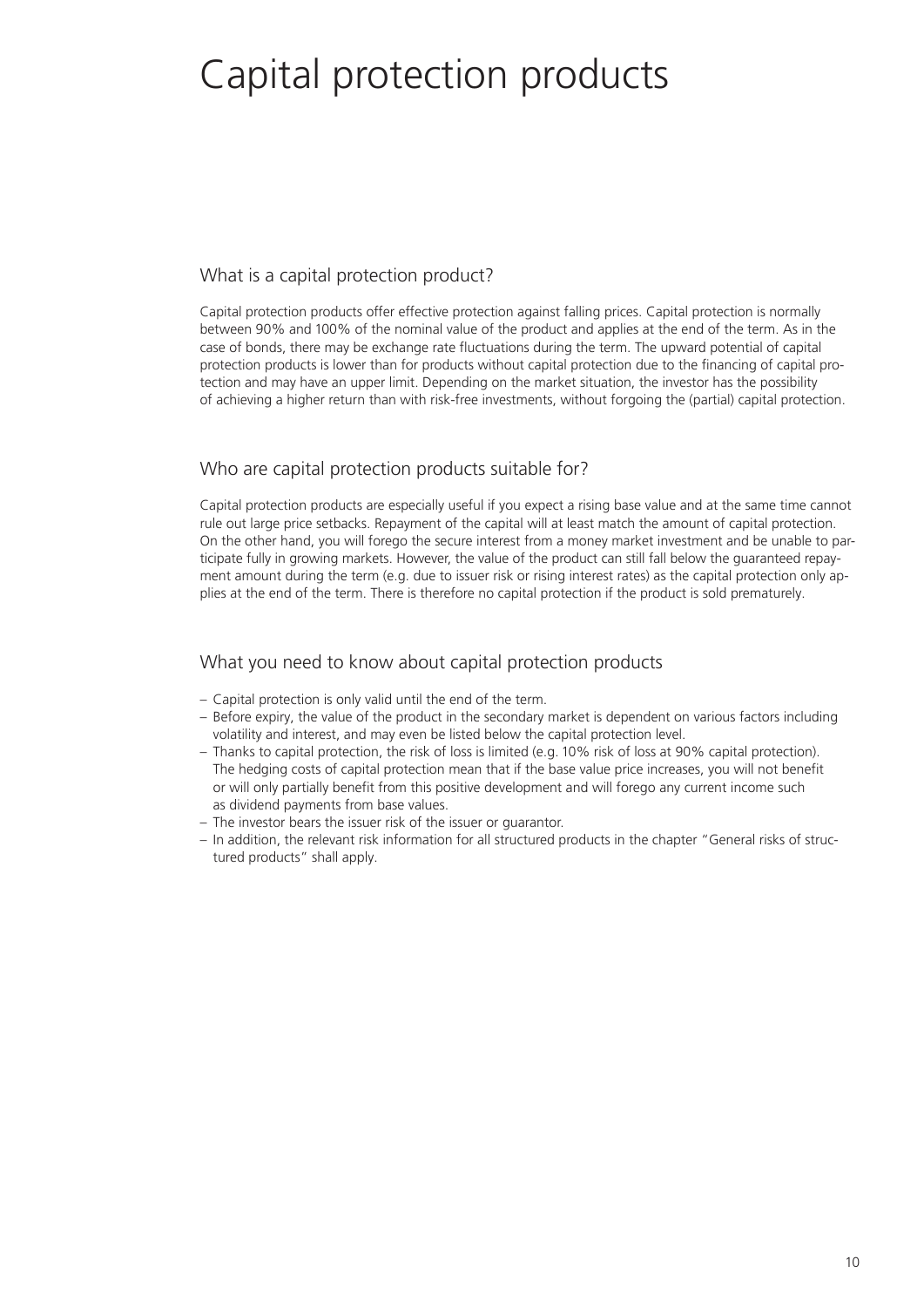# Capital protection products

## What is a capital protection product?

Capital protection products offer effective protection against falling prices. Capital protection is normally between 90% and 100% of the nominal value of the product and applies at the end of the term. As in the case of bonds, there may be exchange rate fluctuations during the term. The upward potential of capital protection products is lower than for products without capital protection due to the financing of capital protection and may have an upper limit. Depending on the market situation, the investor has the possibility of achieving a higher return than with risk-free investments, without forgoing the (partial) capital protection.

## Who are capital protection products suitable for?

Capital protection products are especially useful if you expect a rising base value and at the same time cannot rule out large price setbacks. Repayment of the capital will at least match the amount of capital protection. On the other hand, you will forego the secure interest from a money market investment and be unable to participate fully in growing markets. However, the value of the product can still fall below the guaranteed repayment amount during the term (e.g. due to issuer risk or rising interest rates) as the capital protection only applies at the end of the term. There is therefore no capital protection if the product is sold prematurely.

## What you need to know about capital protection products

- Capital protection is only valid until the end of the term.
- Before expiry, the value of the product in the secondary market is dependent on various factors including volatility and interest, and may even be listed below the capital protection level.
- Thanks to capital protection, the risk of loss is limited (e.g. 10% risk of loss at 90% capital protection). The hedging costs of capital protection mean that if the base value price increases, you will not benefit or will only partially benefit from this positive development and will forego any current income such as dividend payments from base values.
- The investor bears the issuer risk of the issuer or guarantor.
- In addition, the relevant risk information for all structured products in the chapter "General risks of structured products" shall apply.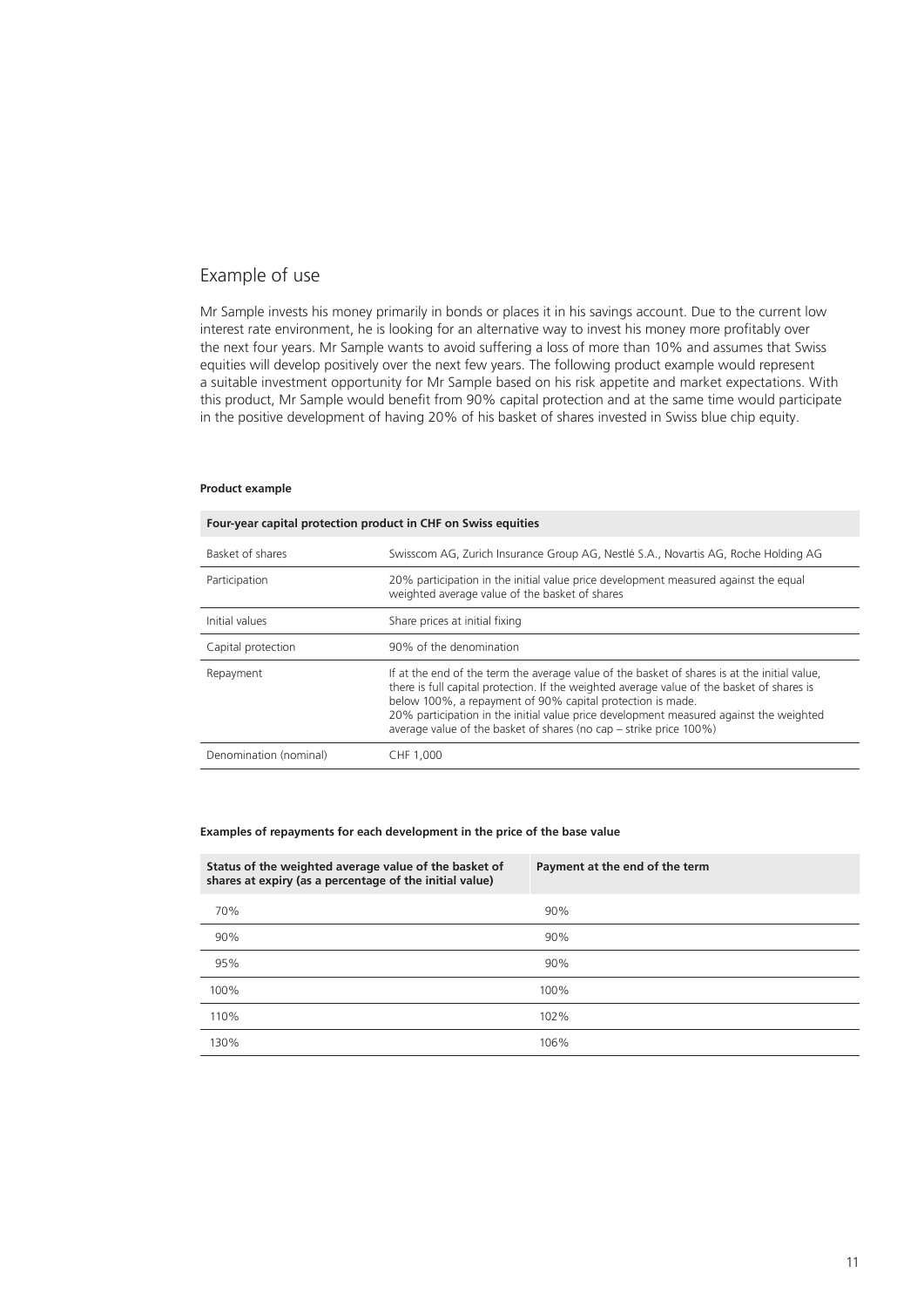### Example of use

Mr Sample invests his money primarily in bonds or places it in his savings account. Due to the current low interest rate environment, he is looking for an alternative way to invest his money more profitably over the next four years. Mr Sample wants to avoid suffering a loss of more than 10% and assumes that Swiss equities will develop positively over the next few years. The following product example would represent a suitable investment opportunity for Mr Sample based on his risk appetite and market expectations. With this product, Mr Sample would benefit from 90% capital protection and at the same time would participate in the positive development of having 20% of his basket of shares invested in Swiss blue chip equity.

#### **Product example**

| Four-year capital protection product in CHF on Swiss equities |                                                                                                                                                                                                                                                                                                                                                                                                                          |  |
|---------------------------------------------------------------|--------------------------------------------------------------------------------------------------------------------------------------------------------------------------------------------------------------------------------------------------------------------------------------------------------------------------------------------------------------------------------------------------------------------------|--|
| Basket of shares                                              | Swisscom AG, Zurich Insurance Group AG, Nestlé S.A., Novartis AG, Roche Holding AG                                                                                                                                                                                                                                                                                                                                       |  |
| Participation                                                 | 20% participation in the initial value price development measured against the equal<br>weighted average value of the basket of shares                                                                                                                                                                                                                                                                                    |  |
| Initial values                                                | Share prices at initial fixing                                                                                                                                                                                                                                                                                                                                                                                           |  |
| Capital protection                                            | 90% of the denomination                                                                                                                                                                                                                                                                                                                                                                                                  |  |
| Repayment                                                     | If at the end of the term the average value of the basket of shares is at the initial value,<br>there is full capital protection. If the weighted average value of the basket of shares is<br>below 100%, a repayment of 90% capital protection is made.<br>20% participation in the initial value price development measured against the weighted<br>average value of the basket of shares (no cap – strike price 100%) |  |
| Denomination (nominal)                                        | CHF 1,000                                                                                                                                                                                                                                                                                                                                                                                                                |  |

#### **Examples of repayments for each development in the price of the base value**

| Status of the weighted average value of the basket of<br>shares at expiry (as a percentage of the initial value) | Payment at the end of the term |
|------------------------------------------------------------------------------------------------------------------|--------------------------------|
| 70%                                                                                                              | 90%                            |
| 90%                                                                                                              | 90%                            |
| 95%                                                                                                              | 90%                            |
| 100%                                                                                                             | 100%                           |
| 110%                                                                                                             | 102%                           |
| 130%                                                                                                             | 106%                           |
|                                                                                                                  |                                |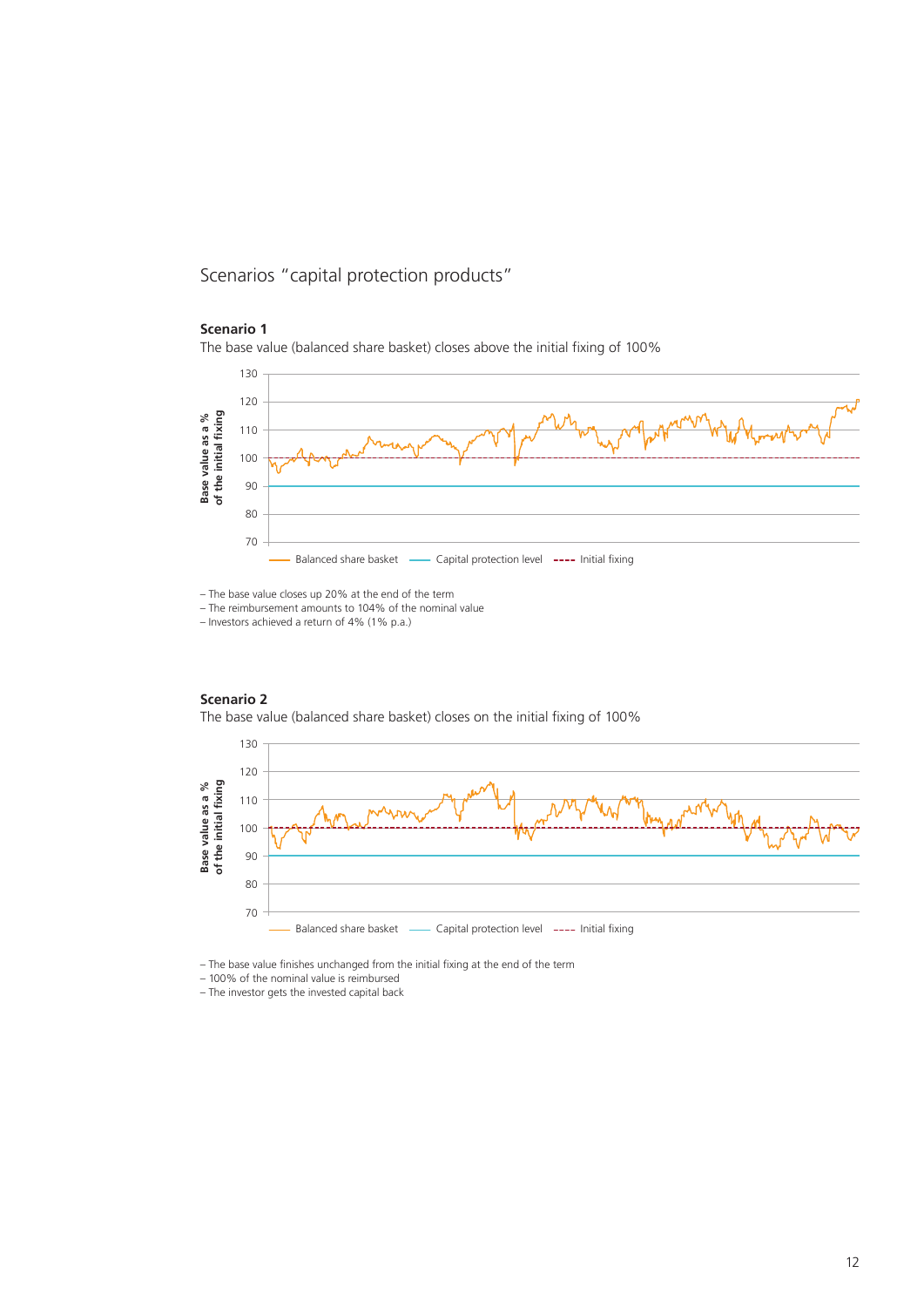Scenarios "capital protection products"

#### **Scenario 1**

**Scenario 2**

The base value (balanced share basket) closes above the initial fixing of 100%



– The base value closes up 20% at the end of the term

– The reimbursement amounts to 104% of the nominal value

– Investors achieved a return of 4% (1% p.a.)



– The base value finishes unchanged from the initial fixing at the end of the term

– 100% of the nominal value is reimbursed<br>– The investor gets the invested capital back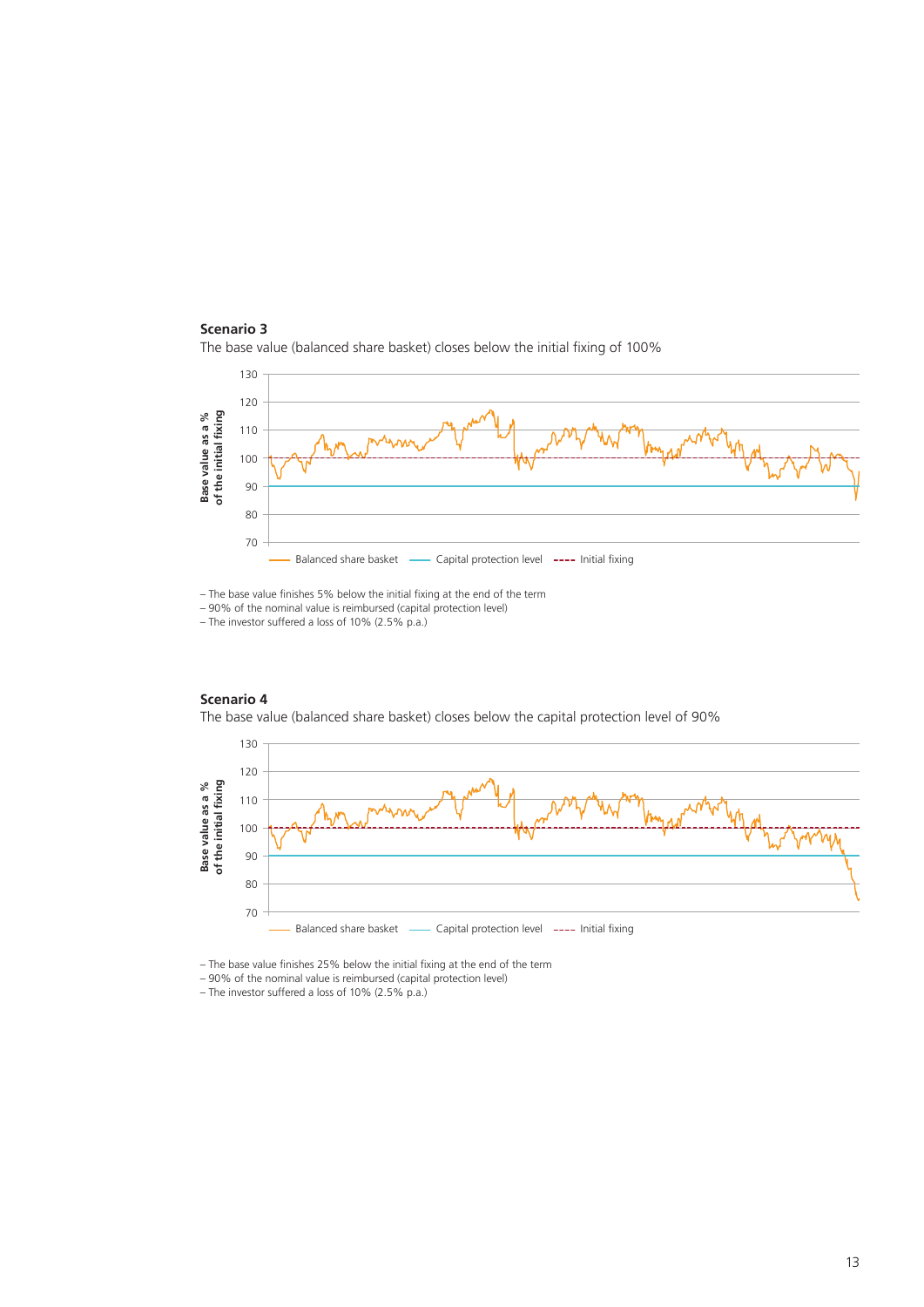



– The base value finishes 5% below the initial fixing at the end of the term

– 90% of the nominal value is reimbursed (capital protection level)

– The investor suffered a loss of 10% (2.5% p.a.)

**Scenario 4**



Balanced share basket - Capital protection level ---- Initial fixing

– The base value finishes 25% below the initial fixing at the end of the term

– 90% of the nominal value is reimbursed (capital protection level)

– The investor suffered a loss of 10% (2.5% p.a.)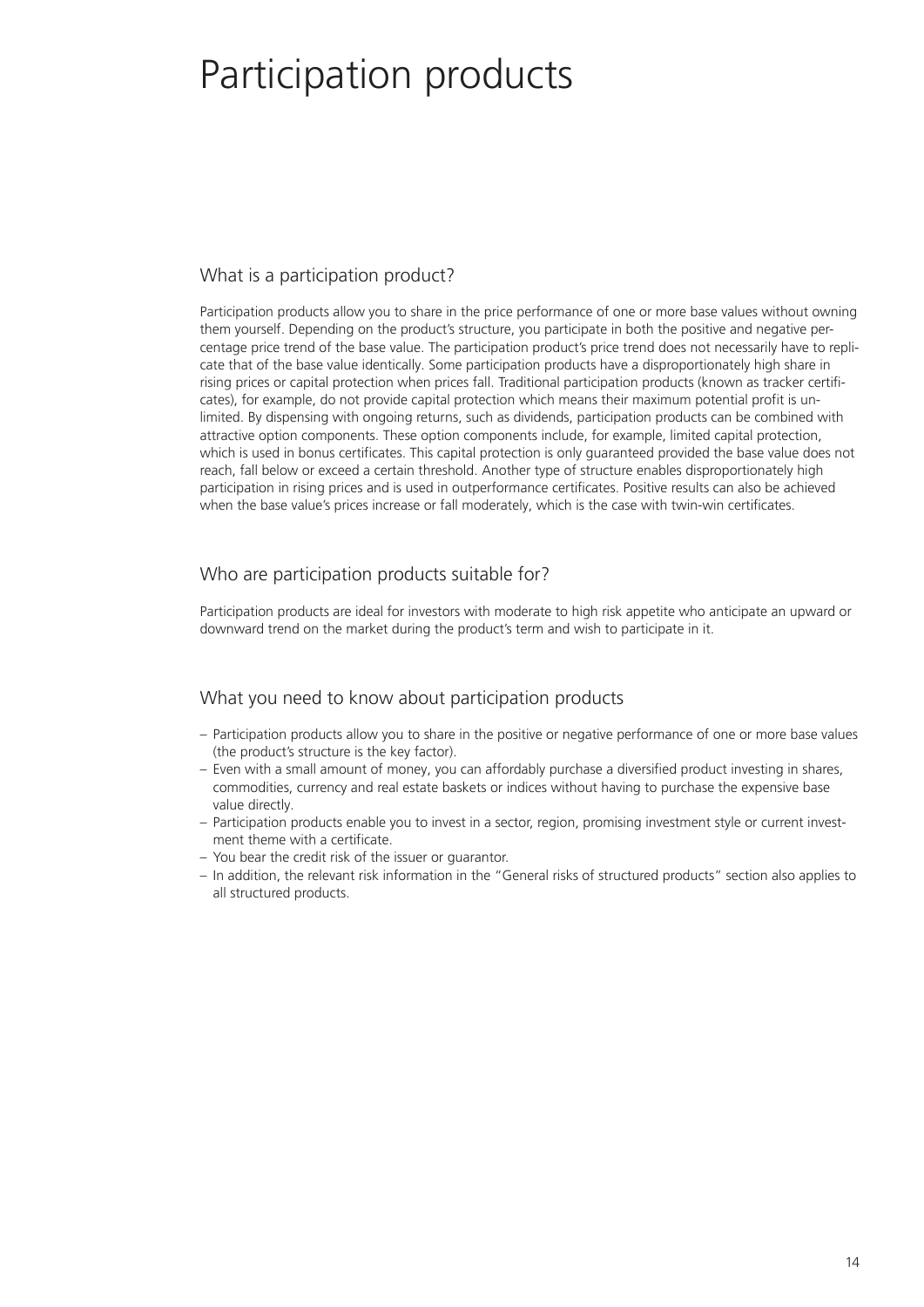# Participation products

## What is a participation product?

Participation products allow you to share in the price performance of one or more base values without owning them yourself. Depending on the product's structure, you participate in both the positive and negative percentage price trend of the base value. The participation product's price trend does not necessarily have to replicate that of the base value identically. Some participation products have a disproportionately high share in rising prices or capital protection when prices fall. Traditional participation products (known as tracker certificates), for example, do not provide capital protection which means their maximum potential profit is unlimited. By dispensing with ongoing returns, such as dividends, participation products can be combined with attractive option components. These option components include, for example, limited capital protection, which is used in bonus certificates. This capital protection is only guaranteed provided the base value does not reach, fall below or exceed a certain threshold. Another type of structure enables disproportionately high participation in rising prices and is used in outperformance certificates. Positive results can also be achieved when the base value's prices increase or fall moderately, which is the case with twin-win certificates.

## Who are participation products suitable for?

Participation products are ideal for investors with moderate to high risk appetite who anticipate an upward or downward trend on the market during the product's term and wish to participate in it.

## What you need to know about participation products

- Participation products allow you to share in the positive or negative performance of one or more base values (the product's structure is the key factor).
- Even with a small amount of money, you can affordably purchase a diversified product investing in shares, commodities, currency and real estate baskets or indices without having to purchase the expensive base value directly.
- Participation products enable you to invest in a sector, region, promising investment style or current investment theme with a certificate.
- You bear the credit risk of the issuer or guarantor.
- In addition, the relevant risk information in the "General risks of structured products" section also applies to all structured products.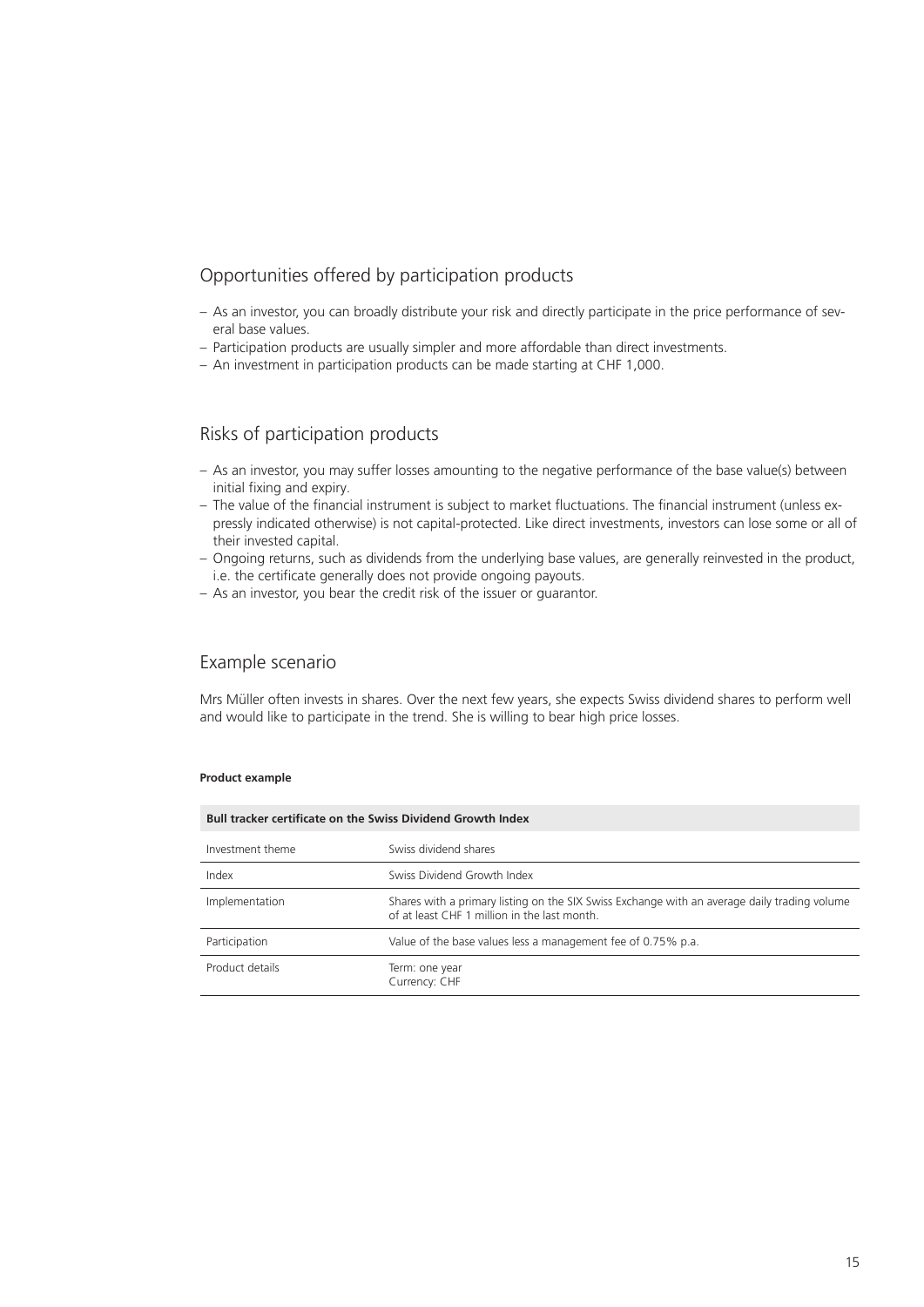## Opportunities offered by participation products

- As an investor, you can broadly distribute your risk and directly participate in the price performance of several base values.
- Participation products are usually simpler and more affordable than direct investments.
- An investment in participation products can be made starting at CHF 1,000.

## Risks of participation products

- As an investor, you may suffer losses amounting to the negative performance of the base value(s) between initial fixing and expiry.
- The value of the financial instrument is subject to market fluctuations. The financial instrument (unless expressly indicated otherwise) is not capital-protected. Like direct investments, investors can lose some or all of their invested capital.
- Ongoing returns, such as dividends from the underlying base values, are generally reinvested in the product, i.e. the certificate generally does not provide ongoing payouts.
- As an investor, you bear the credit risk of the issuer or guarantor.

## Example scenario

Mrs Müller often invests in shares. Over the next few years, she expects Swiss dividend shares to perform well and would like to participate in the trend. She is willing to bear high price losses.

#### **Product example**

| <b>Bull tracker certificate on the Swiss Dividend Growth Index</b> |                                                                                                                                              |  |
|--------------------------------------------------------------------|----------------------------------------------------------------------------------------------------------------------------------------------|--|
| Investment theme                                                   | Swiss dividend shares                                                                                                                        |  |
| Index                                                              | Swiss Dividend Growth Index                                                                                                                  |  |
| Implementation                                                     | Shares with a primary listing on the SIX Swiss Exchange with an average daily trading volume<br>of at least CHF 1 million in the last month. |  |
| Participation                                                      | Value of the base values less a management fee of 0.75% p.a.                                                                                 |  |
| Product details                                                    | Term: one year<br>Currency: CHF                                                                                                              |  |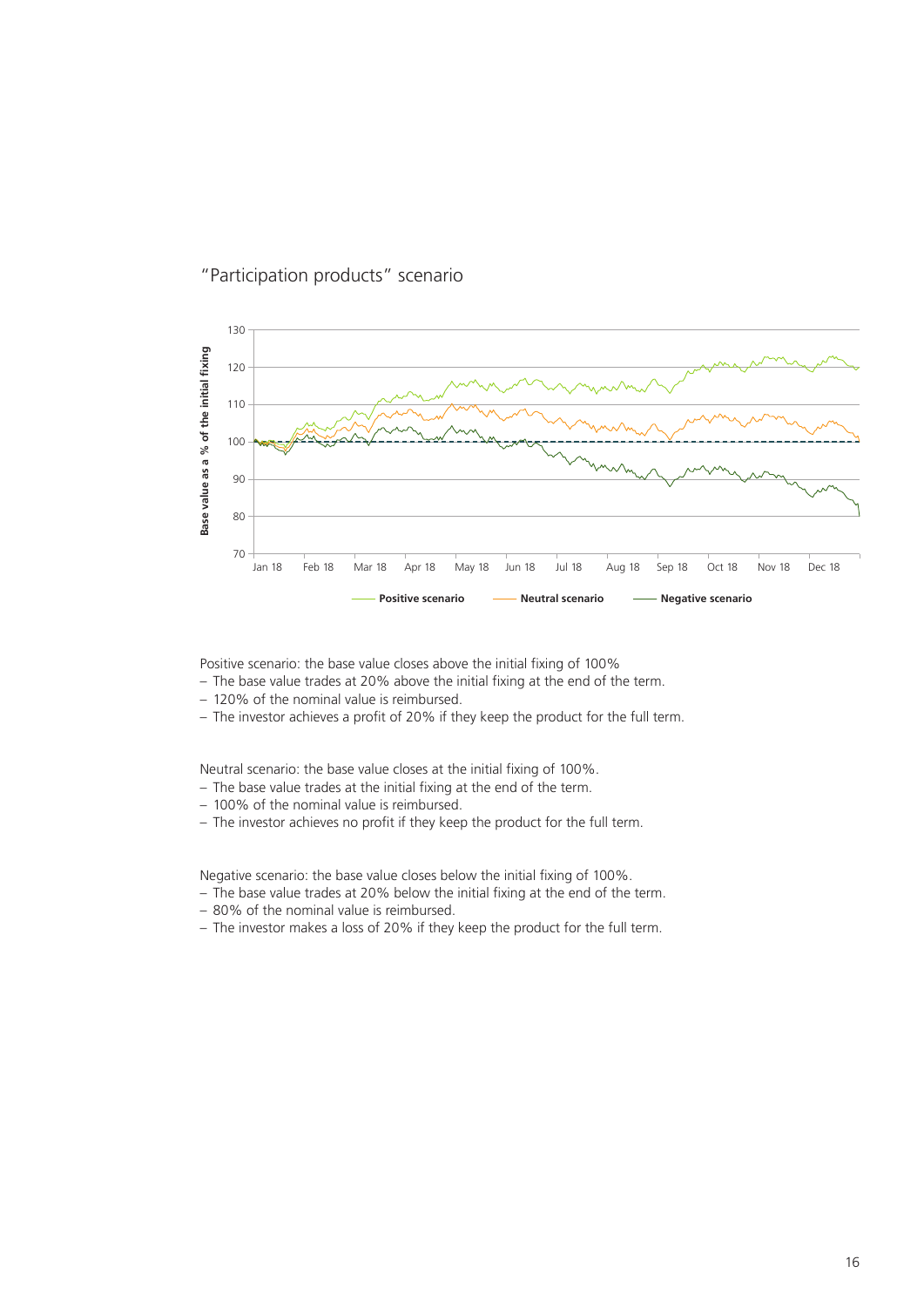

## "Participation products" scenario

Positive scenario: the base value closes above the initial fixing of 100%

- The base value trades at 20% above the initial fixing at the end of the term.
- 120% of the nominal value is reimbursed.
- The investor achieves a profit of 20% if they keep the product for the full term.

Neutral scenario: the base value closes at the initial fixing of 100%.

- The base value trades at the initial fixing at the end of the term.
- 100% of the nominal value is reimbursed.
- The investor achieves no profit if they keep the product for the full term.

Negative scenario: the base value closes below the initial fixing of 100%.

- The base value trades at 20% below the initial fixing at the end of the term.
- 80% of the nominal value is reimbursed.
-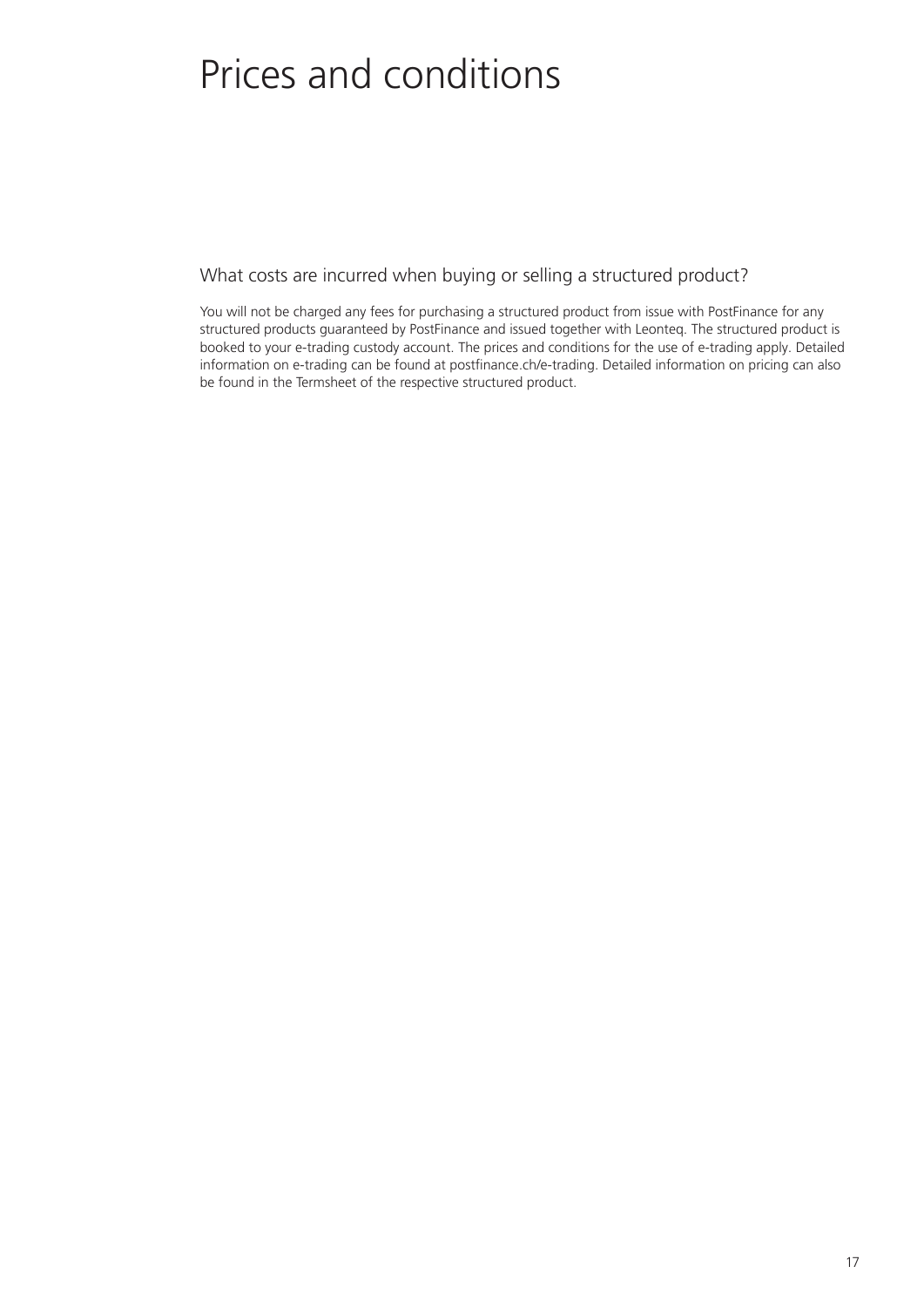# Prices and conditions

What costs are incurred when buying or selling a structured product?

You will not be charged any fees for purchasing a structured product from issue with PostFinance for any structured products guaranteed by PostFinance and issued together with Leonteq. The structured product is booked to your e-trading custody account. The prices and conditions for the use of e-trading apply. Detailed information on e-trading can be found at postfinance.ch/e-trading. Detailed information on pricing can also be found in the Termsheet of the respective structured product.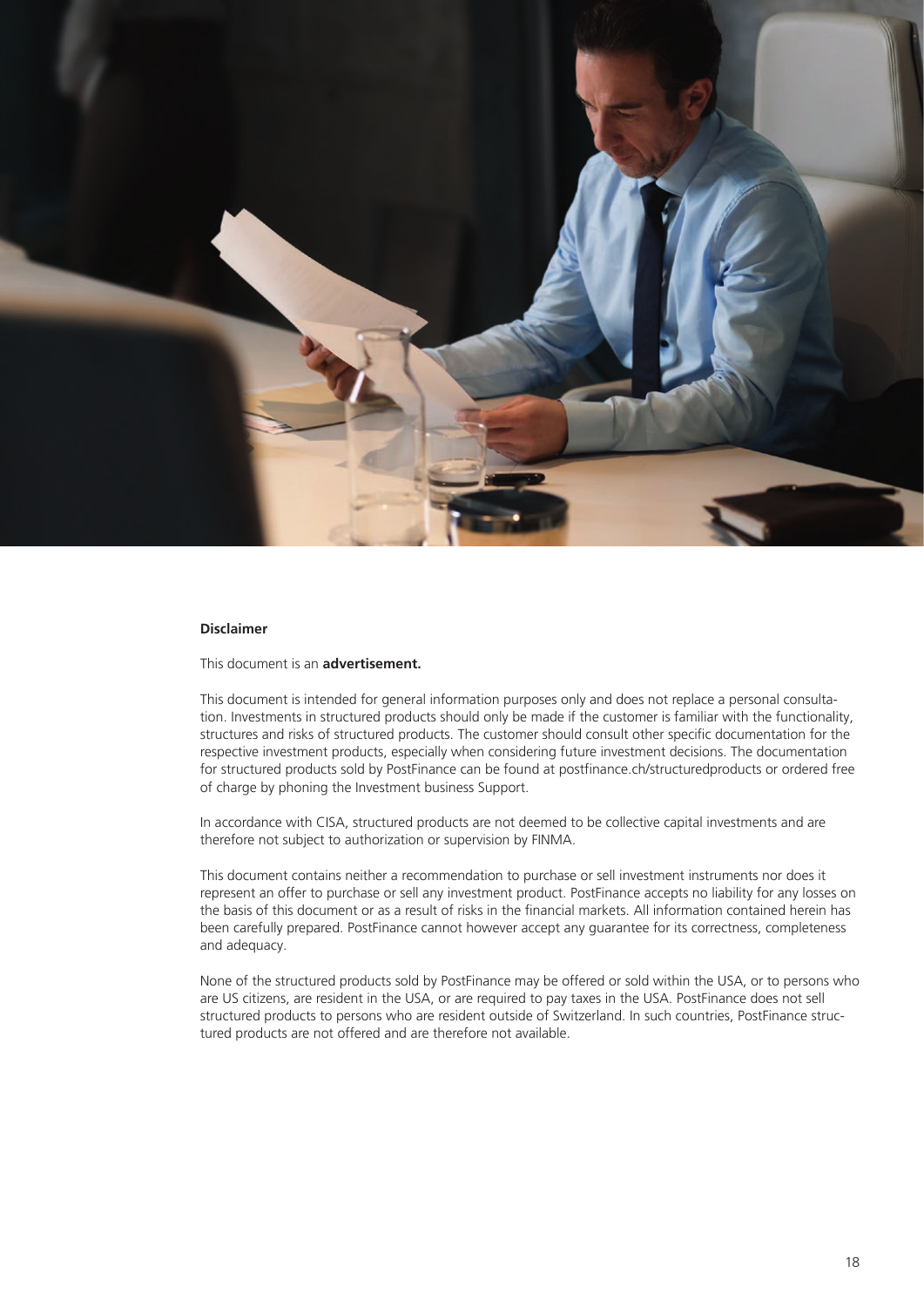

#### **Disclaimer**

This document is an **advertisement.**

This document is intended for general information purposes only and does not replace a personal consultation. Investments in structured products should only be made if the customer is familiar with the functionality, structures and risks of structured products. The customer should consult other specific documentation for the respective investment products, especially when considering future investment decisions. The documentation for structured products sold by PostFinance can be found at postfinance.ch/structuredproducts or ordered free of charge by phoning the Investment business Support.

In accordance with CISA, structured products are not deemed to be collective capital investments and are therefore not subject to authorization or supervision by FINMA.

This document contains neither a recommendation to purchase or sell investment instruments nor does it represent an offer to purchase or sell any investment product. PostFinance accepts no liability for any losses on the basis of this document or as a result of risks in the financial markets. All information contained herein has been carefully prepared. PostFinance cannot however accept any guarantee for its correctness, completeness and adequacy.

None of the structured products sold by PostFinance may be offered or sold within the USA, or to persons who are US citizens, are resident in the USA, or are required to pay taxes in the USA. PostFinance does not sell structured products to persons who are resident outside of Switzerland. In such countries, PostFinance structured products are not offered and are therefore not available.